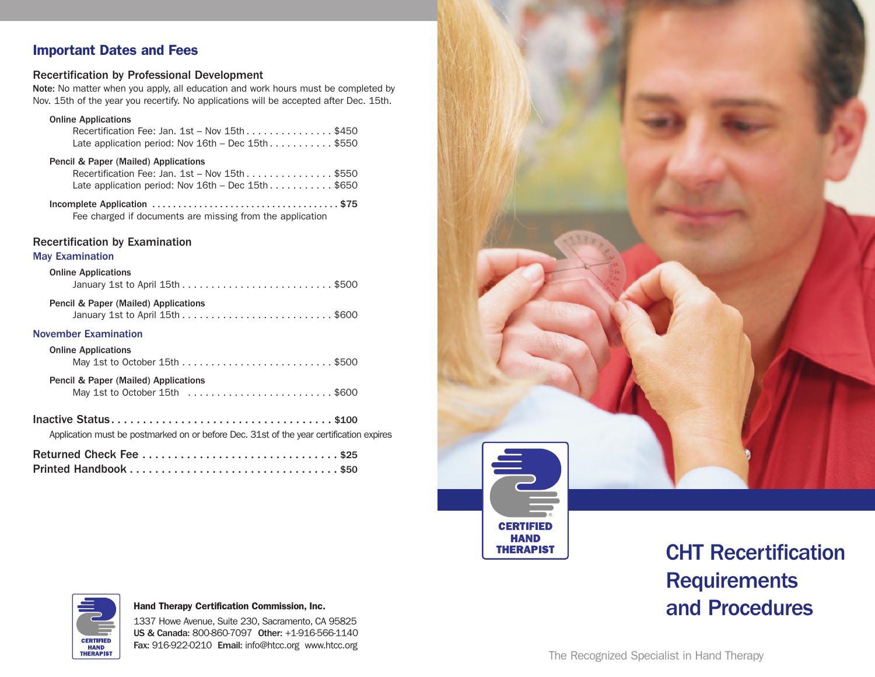## **Important Dates and Fees**

## Recertification by Professional Development

Note: No matter when you apply, all education and work hours must be completed by Nov. 15th of the year you recertify. No applications will be accepted after Dec. 15th.

### Online Applications

| Recertification Fee: Jan. 1st – Nov 15th \$450       |  |
|------------------------------------------------------|--|
| Late application period: Nov $16th - Dec 15th$ \$550 |  |

## Pencil & Paper (Mailed) Applications

Fee charged if documents are missing from the application

## Recertification by Examination

## May Examination

| <b>Online Applications</b>                                                              |  |  |  |  |  |
|-----------------------------------------------------------------------------------------|--|--|--|--|--|
| Pencil & Paper (Mailed) Applications                                                    |  |  |  |  |  |
| <b>November Examination</b>                                                             |  |  |  |  |  |
| <b>Online Applications</b>                                                              |  |  |  |  |  |
| Pencil & Paper (Mailed) Applications<br>May 1st to October 15th \$600                   |  |  |  |  |  |
| Application must be postmarked on or before Dec. 31st of the year certification expires |  |  |  |  |  |
| . <b>. .</b>                                                                            |  |  |  |  |  |

| Returned Check Fee \$25 |  |
|-------------------------|--|
|                         |  |



# CHT Recertification **Requirements** and Procedures



### **Hand Therapy Certification Commission, Inc.**

1337 Howe Avenue, Suite 230, Sacramento, CA 95825 US & Canada: 800-860-7097 Other: +1-916-566-1140 Fax: 916-922-0210 Email: info@htcc.org www.htcc.org

The Recognized Specialist in Hand Therapy